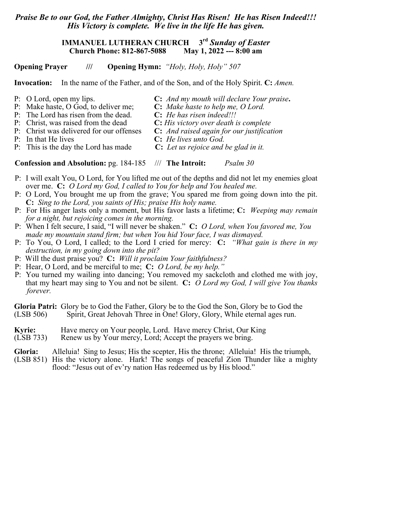## *Praise Be to our God, the Father Almighty, Christ Has Risen! He has Risen Indeed!!! His Victory is complete. We live in the life He has given.*

## **IMMANUEL LUTHERAN CHURCH** 3<sup>rd</sup> *Sunday of Easter*<br>Church Phone: 812-867-5088 May 1, 2022 --- 8:00 am **Church Phone: 812-867-5088**

**Opening Prayer /// Opening Hymn:** *"Holy, Holy, Holy" 507*

**Invocation:** In the name of the Father, and of the Son, and of the Holy Spirit. **C:** *Amen.*

- P: O Lord, open my lips. **C:** *And my mouth will declare Your praise***.**
- P: Make haste, O God, to deliver me; **C:** *Make haste to help me, O Lord.*
- P: The Lord has risen from the dead. **C:** *He has risen indeed!!!*
- P: Christ, was raised from the dead **C:** *His victory over death is complete*
- P: Christ was delivered for our offenses **C:** *And raised again for our justification*
	-
- P: In that He lives **C:** *He lives unto God.* P: This is the day the Lord has made **C:** *Let us rejoice and be glad in it.*

**Confession and Absolution:** pg. 184-185 /// **The Introit:** *Psalm 30*

- P: I will exalt You, O Lord, for You lifted me out of the depths and did not let my enemies gloat over me. **C:** *O Lord my God, I called to You for help and You healed me.*
- P: O Lord, You brought me up from the grave; You spared me from going down into the pit. **C:** *Sing to the Lord, you saints of His; praise His holy name.*
- P: For His anger lasts only a moment, but His favor lasts a lifetime; **C:** *Weeping may remain for a night, but rejoicing comes in the morning.*
- P: When I felt secure, I said, "I will never be shaken." **C:** *O Lord, when You favored me, You made my mountain stand firm; but when You hid Your face, I was dismayed.*
- P: To You, O Lord, I called; to the Lord I cried for mercy: **C:** *"What gain is there in my destruction, in my going down into the pit?*
- P: Will the dust praise you? **C:** *Will it proclaim Your faithfulness?*
- P: Hear, O Lord, and be merciful to me; **C:** *O Lord, be my help."*
- P: You turned my wailing into dancing; You removed my sackcloth and clothed me with joy, that my heart may sing to You and not be silent. **C:** *O Lord my God, I will give You thanks forever.*

**Gloria Patri:** Glory be to God the Father, Glory be to the God the Son, Glory be to God the (LSB 506) Spirit, Great Jehovah Three in One! Glory, Glory, While eternal ages run.

- **Kyrie:** Have mercy on Your people, Lord. Have mercy Christ, Our King (LSB 733) Renew us by Your mercy, Lord; Accept the prayers we bring.
- Renew us by Your mercy, Lord; Accept the prayers we bring.

**Gloria:** Alleluia! Sing to Jesus; His the scepter, His the throne; Alleluia! His the triumph,

(LSB 851) His the victory alone. Hark! The songs of peaceful Zion Thunder like a mighty flood: "Jesus out of ev'ry nation Has redeemed us by His blood."

- -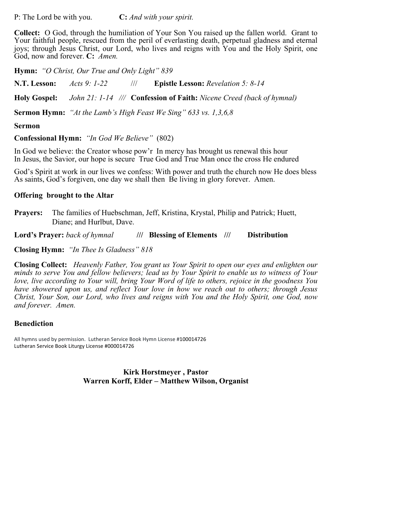P: The Lord be with you. **C:** *And with your spirit.*

**Collect:** O God, through the humiliation of Your Son You raised up the fallen world. Grant to Your faithful people, rescued from the peril of everlasting death, perpetual gladness and eternal joys; through Jesus Christ, our Lord, who lives and reigns with You and the Holy Spirit, one God, now and forever. **C:** *Amen.*

**Hymn:** *"O Christ, Our True and Only Light" 839*

**N.T. Lesson:** *Acts 9: 1-22* /// **Epistle Lesson:** *Revelation 5: 8-14*

**Holy Gospel:** *John 21: 1-14 ///* **Confession of Faith:** *Nicene Creed (back of hymnal)*

**Sermon Hymn:** *"At the Lamb's High Feast We Sing" 633 vs. 1,3,6,8*

#### **Sermon**

**Confessional Hymn:** *"In God We Believe"* (802)

In God we believe: the Creator whose pow'r In mercy has brought us renewal this hour In Jesus, the Savior, our hope is secure True God and True Man once the cross He endured

God's Spirit at work in our lives we confess: With power and truth the church now He does bless As saints, God's forgiven, one day we shall then Be living in glory forever. Amen.

### **Offering brought to the Altar**

**Prayers:** The families of Huebschman, Jeff, Kristina, Krystal, Philip and Patrick; Huett, Diane; and Hurlbut, Dave.

**Lord's Prayer:** *back of hymnal* **/// Blessing of Elements /// Distribution**

**Closing Hymn:** *"In Thee Is Gladness" 818*

**Closing Collect:** *Heavenly Father, You grant us Your Spirit to open our eyes and enlighten our minds to serve You and fellow believers; lead us by Your Spirit to enable us to witness of Your love, live according to Your will, bring Your Word of life to others, rejoice in the goodness You have showered upon us, and reflect Your love in how we reach out to others; through Jesus Christ, Your Son, our Lord, who lives and reigns with You and the Holy Spirit, one God, now and forever. Amen.*

### **Benediction**

All hymns used by permission. Lutheran Service Book Hymn License #100014726 Lutheran Service Book Liturgy License #000014726

> **Kirk Horstmeyer , Pastor Warren Korff, Elder – Matthew Wilson, Organist**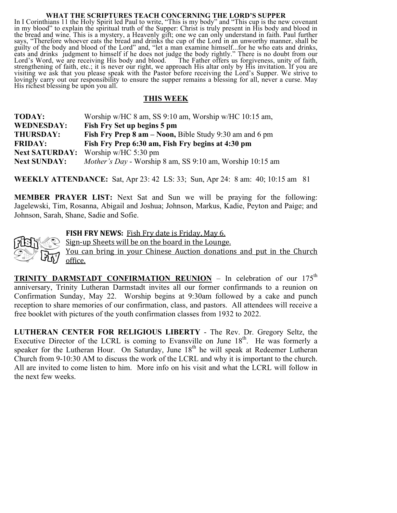#### **WHAT THE SCRIPTURES TEACH CONCERNING THE LORD'S SUPPER**

In I Corinthians 11 the Holy Spirit led Paul to write, "This is my body" and "This cup is the new covenant in my blood" to explain the spiritual truth of the Supper: Christ is truly present in His body and blood in the bread and wine. This is a mystery, a Heavenly gift; one we can only understand in faith. Paul further says, "Therefore whoever eats the bread and drinks the cup of the Lord in an unworthy manner, shall be guilty of the body and blood of the Lord" and, "let a man examine himself...for he who eats and drinks, eats and drinks judgment to himself if he does not judge the body rightly." There is no doubt from our Lord's Word, we are receiving His body and blood. The Father offers us forgiveness, unity of faith, strengthening of faith, etc.; it is never our right, we approach His altar only by His invitation. If you are visiting we ask that you please speak with the Pastor before receiving the Lord's Supper. We strive to lovingly carry out our responsibility to ensure the supper remains a blessing for all, never a curse. May His richest blessing be upon you all.

## **THIS WEEK**

| <b>TODAY:</b>         | Worship w/HC 8 am, SS 9:10 am, Worship w/HC 10:15 am,          |
|-----------------------|----------------------------------------------------------------|
| <b>WEDNESDAY:</b>     | Fish Fry Set up begins 5 pm                                    |
| <b>THURSDAY:</b>      | <b>Fish Fry Prep 8 am – Noon, Bible Study 9:30 am and 6 pm</b> |
| <b>FRIDAY:</b>        | Fish Fry Prep 6:30 am, Fish Fry begins at 4:30 pm              |
| <b>Next SATURDAY:</b> | Worship w/HC $5:30$ pm                                         |
| <b>Next SUNDAY:</b>   | Mother's Day - Worship 8 am, SS 9:10 am, Worship 10:15 am      |

**WEEKLY ATTENDANCE:** Sat, Apr 23: 42 LS: 33; Sun, Apr 24: 8 am: 40; 10:15 am 81

**MEMBER PRAYER LIST:** Next Sat and Sun we will be praying for the following: Jagelewski, Tim, Rosanna, Abigail and Joshua; Johnson, Markus, Kadie, Peyton and Paige; and Johnson, Sarah, Shane, Sadie and Sofie.



**FISH FRY NEWS:** Fish Fry date is Friday, May 6.

Sign-up Sheets will be on the board in the Lounge.

You can bring in your Chinese Auction donations and put in the Church office.

**TRINITY DARMSTADT CONFIRMATION REUNION** – In celebration of our 175<sup>th</sup> anniversary, Trinity Lutheran Darmstadt invites all our former confirmands to a reunion on Confirmation Sunday, May 22. Worship begins at 9:30am followed by a cake and punch reception to share memories of our confirmation, class, and pastors. All attendees will receive a free booklet with pictures of the youth confirmation classes from 1932 to 2022.

**LUTHERAN CENTER FOR RELIGIOUS LIBERTY** - The Rev. Dr. Gregory Seltz, the Executive Director of the LCRL is coming to Evansville on June 18<sup>th</sup>. He was formerly a speaker for the Lutheran Hour. On Saturday, June  $18<sup>th</sup>$  he will speak at Redeemer Lutheran Church from 9-10:30 AM to discuss the work of the LCRL and why it is important to the church. All are invited to come listen to him. More info on his visit and what the LCRL will follow in the next few weeks.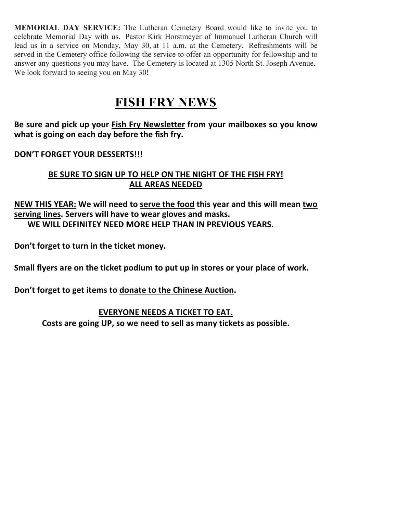**MEMORIAL DAY SERVICE:** The Lutheran Cemetery Board would like to invite you to celebrate Memorial Day with us. Pastor Kirk Horstmeyer of Immanuel Lutheran Church will lead us in a service on Monday, May 30, at 11 a.m. at the Cemetery. Refreshments will be served in the Cemetery office following the service to offer an opportunity for fellowship and to answer any questions you may have. The Cemetery is located at 1305 North St. Joseph Avenue. We look forward to seeing you on May 30!

# **FISH FRY NEWS**

Be sure and pick up your Fish Fry Newsletter from your mailboxes so you know what is going on each day before the fish fry.

# **DON'T FORGET YOUR DESSERTS!!!**

# BE SURE TO SIGN UP TO HELP ON THE NIGHT OF THE FISH FRY! **ALL AREAS NEEDED**

## **NEW THIS YEAR:** We will need to serve the food this year and this will mean two serving lines. Servers will have to wear gloves and masks. WE WILL DEFINITEY NEED MORE HELP THAN IN PREVIOUS YEARS.

Don't forget to turn in the ticket money.

Small flyers are on the ticket podium to put up in stores or your place of work.

Don't forget to get items to donate to the Chinese Auction.

# **EVERYONE NEEDS A TICKET TO EAT.**

Costs are going UP, so we need to sell as many tickets as possible.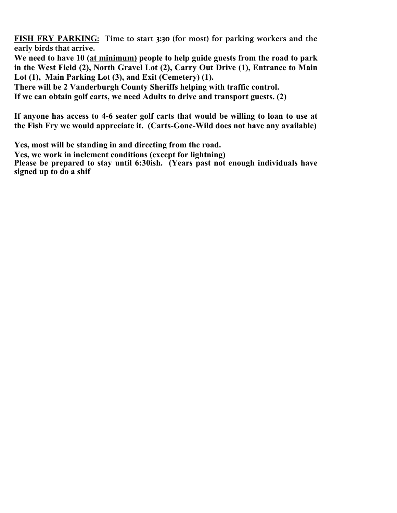**FISH FRY PARKING: Time to start 3:30 (for most) for parking workers and the early birds that arrive.**

**We need to have 10 (at minimum) people to help guide guests from the road to park in the West Field (2), North Gravel Lot (2), Carry Out Drive (1), Entrance to Main Lot (1), Main Parking Lot (3), and Exit (Cemetery) (1).**

**There will be 2 Vanderburgh County Sheriffs helping with traffic control.**

**If we can obtain golf carts, we need Adults to drive and transport guests. (2)**

**If anyone has access to 4-6 seater golf carts that would be willing to loan to use at the Fish Fry we would appreciate it. (Carts-Gone-Wild does not have any available)**

**Yes, most will be standing in and directing from the road.** 

**Yes, we work in inclement conditions (except for lightning)**

Please be prepared to stay until 6:30ish. (Years past not enough individuals have **signed up to do a shif**